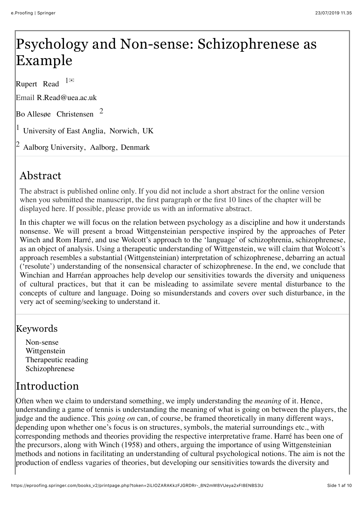# Psychology and Non-sense: Schizophrenese as Example

Rupert Read  $1^{\text{m}}$ 

Email R.Read@uea.ac.uk

Bo Allesøe Christensen<sup>2</sup>

<sup>1</sup> University of East Anglia, Norwich, UK

Aalborg University, Aalborg, Denmark 2

#### Abstract

The abstract is published online only. If you did not include a short abstract for the online version when you submitted the manuscript, the first paragraph or the first 10 lines of the chapter will be displayed here. If possible, please provide us with an informative abstract.

In this chapter we will focus on the relation between psychology as a discipline and how it understands nonsense. We will present a broad Wittgensteinian perspective inspired by the approaches of Peter Winch and Rom Harré, and use Wolcott's approach to the 'language' of schizophrenia, schizophrenese, as an object of analysis. Using a therapeutic understanding of Wittgenstein, we will claim that Wolcott's approach resembles a substantial (Wittgensteinian) interpretation of schizophrenese, debarring an actual ('resolute') understanding of the nonsensical character of schizophrenese. In the end, we conclude that Winchian and Harréan approaches help develop our sensitivities towards the diversity and uniqueness of cultural practices, but that it can be misleading to assimilate severe mental disturbance to the concepts of culture and language. Doing so misunderstands and covers over such disturbance, in the very act of seeming/seeking to understand it.

#### Keywords

Non-sense Wittgenstein Therapeutic reading Schizophrenese

#### Introduction

Often when we claim to understand something, we imply understanding the *meaning* of it. Hence, understanding a game of tennis is understanding the meaning of what is going on between the players, the judge and the audience. This *going on* can, of course, be framed theoretically in many different ways, depending upon whether one's focus is on structures, symbols, the material surroundings etc., with corresponding methods and theories providing the respective interpretative frame. Harré has been one of the precursors, along with Winch (1958) and others, arguing the importance of using Wittgensteinian methods and notions in facilitating an understanding of cultural psychological notions. The aim is not the production of endless vagaries of theories, but developing our sensitivities towards the diversity and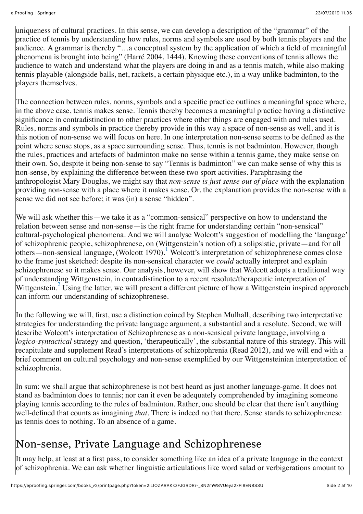uniqueness of cultural practices. In this sense, we can develop a description of the "grammar" of the practice of tennis by understanding how rules, norms and symbols are used by both tennis players and the audience. A grammar is thereby "…a conceptual system by the application of which a field of meaningful phenomena is brought into being" (Harré 2004, 1444). Knowing these conventions of tennis allows the audience to watch and understand what the players are doing in and as a tennis match, while also making tennis playable (alongside balls, net, rackets, a certain physique etc.), in a way unlike badminton, to the players themselves.

The connection between rules, norms, symbols and a specific practice outlines a meaningful space where, in the above case, tennis makes sense. Tennis thereby becomes a meaningful practice having a distinctive significance in contradistinction to other practices where other things are engaged with and rules used. Rules, norms and symbols in practice thereby provide in this way a space of non-sense as well, and it is this notion of non-sense we will focus on here. In one interpretation non-sense seems to be defined as the point where sense stops, as a space surrounding sense. Thus, tennis is not badminton. However, though the rules, practices and artefacts of badminton make no sense within a tennis game, they make sense on their own. So, despite it being non-sense to say "Tennis is badminton" we can make sense of why this is non-sense, by explaining the difference between these two sport activities. Paraphrasing the anthropologist Mary Douglas, we might say that *non*-*sense is just sense out of place* with the explanation providing non-sense with a place where it makes sense. Or, the explanation provides the non-sense with a sense we did not see before; it was (in) a sense "hidden".

<span id="page-1-0"></span>We will ask whether this—we take it as a "common-sensical" perspective on how to understand the relation between sense and non-sense—is the right frame for understanding certain "non-sensical" cultural-psychological phenomena. And we will analyse Wolcott's suggestion of modelling the 'language' of schizophrenic people, schizophrenese, on (Wittgenstein's notion of) a solipsistic, private—and for all others— non-sensical language, (Wolcott 1970).<sup>1</sup> Wolcott's interpretation of schizophrenese comes close to the frame just sketched: despite its non-sensical character we *could* actually interpret and explain schizophrenese so it makes sense. Our analysis, however, will show that Wolcott adopts a traditional way of understanding Wittgenstein, in contradistinction to a recent resolute/therapeutic interpretation of Wittgenstein.<sup>2</sup> Using the latter, we will present a different picture of how a Wittgenstein inspired approach can inform our understanding of schizophrenese.

<span id="page-1-1"></span>In the following we will, first, use a distinction coined by Stephen Mulhall, describing two interpretative strategies for understanding the private language argument, a substantial and a resolute. Second, we will describe Wolcott's interpretation of Schizophrenese as a non-sensical private language, involving a *logico*-*syntactical* strategy and question, 'therapeutically', the substantial nature of this strategy. This will recapitulate and supplement Read's interpretations of schizophrenia (Read 2012), and we will end with a brief comment on cultural psychology and non-sense exemplified by our Wittgensteinian interpretation of schizophrenia.

In sum: we shall argue that schizophrenese is not best heard as just another language-game. It does not stand as badminton does to tennis; nor can it even be adequately comprehended by imagining someone playing tennis according to the rules of badminton. Rather, one should be clear that there isn't anything well-defined that counts as imagining *that*. There is indeed no that there. Sense stands to schizophrenese as tennis does to nothing. To an absence of a game.

#### Non-sense, Private Language and Schizophrenese

It may help, at least at a first pass, to consider something like an idea of a private language in the context of schizophrenia. We can ask whether linguistic articulations like word salad or verbigerations amount to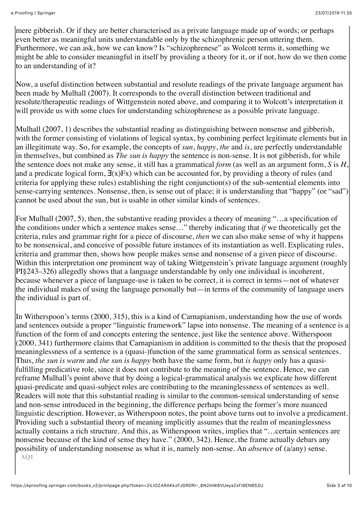mere gibberish. Or if they are better characterised as a private language made up of words; or perhaps even better as meaningful units understandable only by the schizophrenic person uttering them. Furthermore, we can ask, how we can know? Is "schizophrenese" as Wolcott terms it, something we might be able to consider meaningful in itself by providing a theory for it, or if not, how do we then come to an understanding of it?

Now, a useful distinction between substantial and resolute readings of the private language argument has been made by Mulhall (2007). It corresponds to the overall distinction between traditional and resolute/therapeutic readings of Wittgenstein noted above, and comparing it to Wolcott's interpretation it will provide us with some clues for understanding schizophrenese as a possible private language.

Mulhall (2007, 1) describes the substantial reading as distinguishing between nonsense and gibberish, with the former consisting of violations of logical syntax, by combining perfect legitimate elements but in an illegitimate way. So, for example, the concepts of *sun*, *happy*, *the* and *is*, are perfectly understandable in themselves, but combined as *The sun is happy* the sentence is non-sense. It is not gibberish, for while the sentence does not make any sense, it still has a grammatical *form* (as well as an argument form, *S* is *H*, and a predicate logical form,  $\exists$ (x)Fx) which can be accounted for, by providing a theory of rules (and criteria for applying these rules) establishing the right conjunction(s) of the sub-sentential elements into sense-carrying sentences. Nonsense, then, is sense out of place; it is understanding that "happy" (or "sad") cannot be used about the sun, but is usable in other similar kinds of sentences.

For Mulhall (2007, 5), then, the substantive reading provides a theory of meaning "…a specification of the conditions under which a sentence makes sense…" thereby indicating that *if* we theoretically get the criteria, rules and grammar right for a piece of discourse, *then* we can also make sense of why it happens to be nonsensical, and conceive of possible future instances of its instantiation as well. Explicating rules, criteria and grammar then, shows how people makes sense and nonsense of a given piece of discourse. Within this interpretation one prominent way of taking Wittgenstein's private language argument (roughly PI§243–326) allegedly shows that a language understandable by only one individual is incoherent, because whenever a piece of language-use is taken to be correct, it is correct in terms—not of whatever the individual makes of using the language personally but—in terms of the community of language users the individual is part of.

In Witherspoon's terms (2000, 315), this is a kind of Carnapianism, understanding how the use of words and sentences outside a proper "linguistic framework" lapse into nonsense. The meaning of a sentence is a function of the form of and concepts entering the sentence, just like the sentence above. Witherspoon (2000, 341) furthermore claims that Carnapianism in addition is committed to the thesis that the proposed meaninglessness of a sentence is a (quasi-)function of the same grammatical form as sensical sentences. Thus, *the sun is warm* and *the sun is happy* both have the same form, but *is happy* only has a quasifulfilling predicative role, since it does not contribute to the meaning of the sentence. Hence, we can reframe Mulhall's point above that by doing a logical-grammatical analysis we explicate how different quasi-predicate and quasi-subject roles are contributing to the meaninglessness of sentences as well. Readers will note that this substantial reading is similar to the common-sensical understanding of sense and non-sense introduced in the beginning, the difference perhaps being the former's more nuanced linguistic description. However, as Witherspoon notes, the point above turns out to involve a predicament. Providing such a substantial theory of meaning implicitly assumes that the realm of meaninglessness actually contains a rich structure. And this, as Witherspoon writes, implies that "…certain sentences are nonsense because of the kind of sense they have." (2000, 342). Hence, the frame actually debars any possibility of understanding nonsense as what it is, namely non-sense. An *absence* of (a/any) sense. **[AQ1](https://eproofing.springer.com/books_v2/printpage.php?token=2iLIOZARAKkzFJGRDRr-_8N2mW8VUeya2xFI8ENBS3U#)**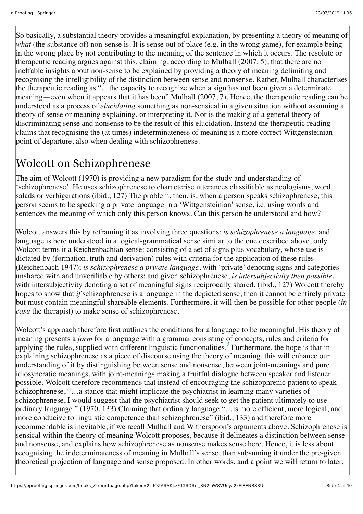So basically, a substantial theory provides a meaningful explanation, by presenting a theory of meaning of *what* (the substance of) non-sense is. It is sense out of place (e.g. in the wrong game), for example being in the wrong place by not contributing to the meaning of the sentence in which it occurs. The resolute or therapeutic reading argues against this, claiming, according to Mulhall (2007, 5), that there are no ineffable insights about non-sense to be explained by providing a theory of meaning delimiting and recognising the intelligibility of the distinction between sense and nonsense. Rather, Mulhall characterises the therapeutic reading as "…the capacity to recognize when a sign has not been given a determinate meaning—even when it appears that it has been" Mulhall (2007, 7). Hence, the therapeutic reading can be understood as a process of *elucidating* something as non-sensical in a given situation without assuming a theory of sense or meaning explaining, or interpreting it. Nor is the making of a general theory of discriminating sense and nonsense to be the result of this elucidation. Instead the therapeutic reading claims that recognising the (at times) indeterminateness of meaning is a more correct Wittgensteinian point of departure, also when dealing with schizophrenese.

## Wolcott on Schizophrenese

The aim of Wolcott (1970) is providing a new paradigm for the study and understanding of 'schizophrenese'. He uses schizophrenese to characterise utterances classifiable as neologisms, word salads or verbigerations (ibid., 127) The problem, then, is, when a person speaks schizophrenese, this person seems to be speaking a private language in a 'Wittgensteinian' sense, i.e. using words and sentences the meaning of which only this person knows. Can this person be understood and how?

Wolcott answers this by reframing it as involving three questions: *is schizophrenese a language,* and language is here understood in a logical-grammatical sense similar to the one described above, only Wolcott terms it a Reichenbachian sense: consisting of a set of signs plus vocabulary, whose use is dictated by (formation, truth and derivation) rules with criteria for the application of these rules (Reichenbach 1947); *is schizophrenese a private language*, with 'private' denoting signs and categories unshared with and unverifiable by others; and given schizophrenese, *is intersubjectivity then possible*, with intersubjectivity denoting a set of meaningful signs reciprocally shared. (ibid., 127) Wolcott thereby hopes to show that *if* schizophrenese is a language in the depicted sense, then it cannot be entirely private but must contain meaningful shareable elements. Furthermore, it will then be possible for other people (*in casu* the therapist) to make sense of schizophrenese.

<span id="page-3-0"></span>Wolcott's approach therefore first outlines the conditions for a language to be meaningful. His theory of meaning presents a *form* for a language with a grammar consisting of concepts, rules and criteria for applying the rules, supplied with different linguistic functionalities[.](#page-9-1)<sup>3</sup> Furthermore, the hope is that in explaining schizophrenese as a piece of discourse using the theory of meaning, this will enhance our understanding of it by distinguishing between sense and nonsense, between joint-meanings and pure idiosyncratic meanings, with joint-meanings making a fruitful dialogue between speaker and listener possible. Wolcott therefore recommends that instead of encouraging the schizophrenic patient to speak schizophrenese, "…a stance that might implicate the psychiatrist in learning many varieties of schizophrenese, I would suggest that the psychiatrist should seek to get the patient ultimately to use ordinary language." (1970, 133) Claiming that ordinary language "…is more efficient, more logical, and more conducive to linguistic competence than schizophrenese" (ibid., 133) and therefore more recommendable is inevitable, if we recall Mulhall and Witherspoon's arguments above. Schizophrenese is sensical within the theory of meaning Wolcott proposes, because it delineates a distinction between sense and nonsense, and explains how schizophrenese as nonsense makes sense here. Hence, it is less about recognising the indeterminateness of meaning in Mulhall's sense, than subsuming it under the pre-given theoretical projection of language and sense proposed. In other words, and a point we will return to later,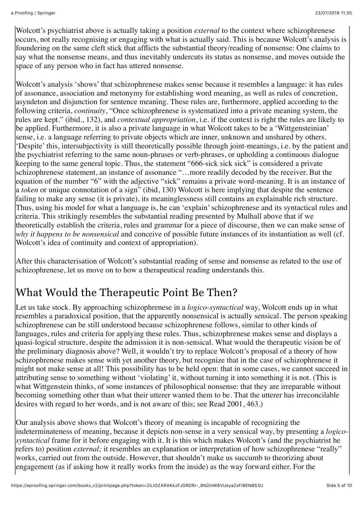Wolcott's psychiatrist above is actually taking a position *external* to the context where schizophrenese occurs, not really recognising or engaging with what is actually said. This is because Wolcott's analysis is foundering on the same cleft stick that afflicts the substantial theory/reading of nonsense: One claims to say what the nonsense means, and thus inevitably undercuts its status as nonsense, and moves outside the space of any person who in fact has uttered nonsense.

Wolcott's analysis 'shows' that schizophrenese makes sense because it resembles a language: it has rules of assonance, association and metonymy for establishing word meaning, as well as rules of concretion, asyndeton and disjunction for sentence meaning. These rules are, furthermore, applied according to the following criteria, *continuity*, "Once schizophrenese is systematized into a private meaning system, the rules are kept." (ibid., 132), and *contextual appropriation*, i.e. if the context is right the rules are likely to be applied. Furthermore, it is also a private language in what Wolcott takes to be a 'Wittgensteinian' sense, i.e. a language referring to private objects which are inner, unknown and unshared by others. 'Despite' this, intersubjectivity is still theoretically possible through joint-meanings, i.e. by the patient and the psychiatrist referring to the same noun-phrases or verb-phrases, or upholding a continuous dialogue keeping to the same general topic. Thus, the statement "666-sick sick sick" is considered a private schizophrenese statement, an instance of assonance "...more readily decoded by the receiver. But the equation of the number "6" with the adjective "sick" remains a private word-meaning. It is an instance of a *token* or unique connotation of a sign" (ibid, 130) Wolcott is here implying that despite the sentence failing to make any sense (it is private), its meaninglessness still contains an explainable rich structure. Thus, using his model for what a language is, he can 'explain' schizophrenese and its syntactical rules and criteria. This strikingly resembles the substantial reading presented by Mulhall above that if we theoretically establish the criteria, rules and grammar for a piece of discourse, then we can make sense of *why it happens to be nonsensical* and conceive of possible future instances of its instantiation as well (cf. Wolcott's idea of continuity and context of appropriation).

After this characterisation of Wolcott's substantial reading of sense and nonsense as related to the use of schizophrenese, let us move on to how a therapeutical reading understands this.

## What Would the Therapeutic Point Be Then?

Let us take stock. By approaching schizophrenese in a *logico*-*syntactical* way, Wolcott ends up in what resembles a paradoxical position, that the apparently nonsensical is actually sensical. The person speaking schizophrenese can be still understood because schizophrenese follows, similar to other kinds of languages, rules and criteria for applying these rules. Thus, schizophrenese makes sense and displays a quasi-logical structure, despite the admission it is non-sensical. What would the therapeutic vision be of the preliminary diagnosis above? Well, it wouldn't try to replace Wolcott's proposal of a theory of how schizophrenese makes sense with yet another theory, but recognize that in the case of schizophrenese it might not make sense at all! This possibility has to be held open: that in some cases, we cannot succeed in attributing sense to something without 'violating' it, without turning it into something it is not. (This is what Wittgenstein thinks, of some instances of philosophical nonsense: that they are irreparable without becoming something other than what their utterer wanted them to be. That the utterer has irreconcilable desires with regard to her words, and is not aware of this; see Read 2001, 463.)

Our analysis above shows that Wolcott's theory of meaning is incapable of recognizing the indeterminateness of meaning, because it depicts non-sense in a very sensical way, by presenting a *logicosyntactical* frame for it before engaging with it. It is this which makes Wolcott's (and the psychiatrist he refers to) position *external*; it resembles an explanation or interpretation of how schizophrenese "really" works, carried out from the outside. However, that shouldn't make us succumb to theorizing about engagement (as if asking how it really works from the inside) as the way forward either. For the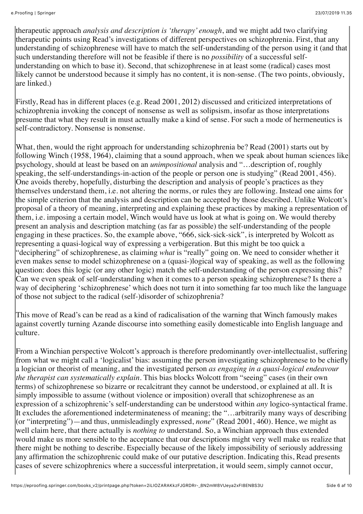therapeutic approach *analysis and description is 'therapy' enough*, and we might add two clarifying therapeutic points using Read's investigations of different perspectives on schizophrenia. First, that any understanding of schizophrenese will have to match the self-understanding of the person using it (and that such understanding therefore will not be feasible if there is no *possibility* of a successful selfunderstanding on which to base it). Second, that schizophrenese in at least some (radical) cases most likely cannot be understood because it simply has no content, it is non-sense. (The two points, obviously, are linked.)

Firstly, Read has in different places (e.g. Read 2001, 2012) discussed and criticized interpretations of schizophrenia invoking the concept of nonsense as well as solipsism, insofar as those interpretations presume that what they result in must actually make a kind of sense. For such a mode of hermeneutics is self-contradictory. Nonsense is nonsense.

What, then, would the right approach for understanding schizophrenia be? Read (2001) starts out by following Winch (1958, 1964), claiming that a sound approach, when we speak about human sciences like psychology, should at least be based on an *unimpositional* analysis and "…description of, roughly speaking, the self-understandings-in-action of the people or person one is studying" (Read 2001, 456). One avoids thereby, hopefully, disturbing the description and analysis of people's practices as they themselves understand them, i.e. not altering the norms, or rules they are following. Instead one aims for the simple criterion that the analysis and description can be accepted by those described. Unlike Wolcott's proposal of a theory of meaning, interpreting and explaining these practices by making a representation of them, i.e. imposing a certain model, Winch would have us look at what is going on. We would thereby present an analysis and description matching (as far as possible) the self-understanding of the people engaging in these practices. So, the example above, "666, sick-sick-sick", is interpreted by Wolcott as representing a quasi-logical way of expressing a verbigeration. But this might be too quick a "deciphering" of schizophrenese, as claiming *what* is "really" going on. We need to consider whether it even makes sense to model schizophrenese on a (quasi-)logical way of speaking, as well as the following question: does this logic (or any other logic) match the self-understanding of the person expressing this? Can we even speak of self-understanding when it comes to a person speaking schizophrenese? Is there a way of deciphering 'schizophrenese' which does not turn it into something far too much like the language of those not subject to the radical (self-)disorder of schizophrenia?

This move of Read's can be read as a kind of radicalisation of the warning that Winch famously makes against covertly turning Azande discourse into something easily domesticable into English language and culture.

From a Winchian perspective Wolcott's approach is therefore predominantly over-intellectualist, suffering from what we might call a 'logicalist' bias: assuming the person investigating schizophrenese to be chiefly a logician or theorist of meaning, and the investigated person *as engaging in a quasi*-*logical endeavour the therapist can systematically explain*. This bias blocks Wolcott from "seeing" cases (in their own terms) of schizophrenese so bizarre or recalcitrant they cannot be understood, or explained at all. It is simply impossible to assume (without violence or imposition) overall that schizophrenese as an expression of a schizophrenic's self-understanding can be understood within *any* logico-syntactical frame. It excludes the aforementioned indeterminateness of meaning; the "…arbitrarily many ways of describing (or "interpreting")—and thus, unmisleadingly expressed, *none*" (Read 2001, 460). Hence, we might as well claim here, that there actually is *nothing to* understand. So, a Winchian approach thus extended would make us more sensible to the acceptance that our descriptions might very well make us realize that there might be nothing to describe. Especially because of the likely impossibility of seriously addressing any affirmation the schizophrenic could make of our putative description. Indicating this, Read presents cases of severe schizophrenics where a successful interpretation, it would seem, simply cannot occur,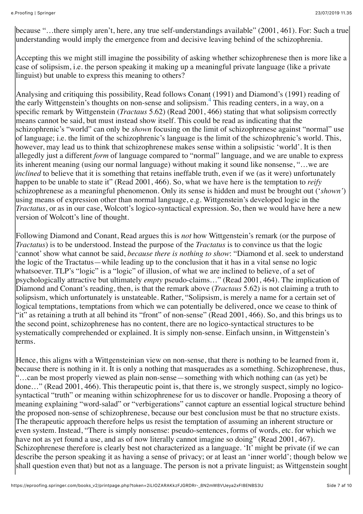because "…there simply aren't, here, any true self-understandings available" (2001, 461). For: Such a true understanding would imply the emergence from and decisive leaving behind of the schizophrenia.

Accepting this we might still imagine the possibility of asking whether schizophrenese then is more like a case of solipsism, i.e. the person speaking it making up a meaningful private language (like a private linguist) but unable to express this meaning to others?

<span id="page-6-0"></span>Analysing and critiquing this possibility, Read follows Conant (1991) and Diamond's (1991) reading of the early Wittgenstein's thoughts on non-sense and solipsism.<sup>4</sup> This reading centers, in a way, on a specific remark by Wittgenstein (*Tractaus* 5.62) (Read 2001, 466) stating that what solipsism correctly means cannot be said, but must instead show itself. This could be read as indicating that the schizophrenic's "world" can only be *shown* focusing on the limit of schizophrenese against "normal" use of language; i.e. the limit of the schizophrenic's language is the limit of the schizophrenic's world. This, however, may lead us to think that schizophrenese makes sense within a solipsistic 'world'. It is then allegedly just a different *form* of language compared to "normal" language, and we are unable to express its inherent meaning (using our normal language) without making it sound like nonsense, "…we are *inclined* to believe that it is something that retains ineffable truth, even if we (as it were) unfortunately happen to be unable to state it" (Read 2001, 466). So, what we have here is the temptation to *reify* schizophrenese as a meaningful phenomenon. Only its sense is hidden and must be brought out ('*shown'*) using means of expression other than normal language, e.g. Wittgenstein's developed logic in the *Tractatus*, or as in our case, Wolcott's logico-syntactical expression. So, then we would have here a new version of Wolcott's line of thought.

Following Diamond and Conant, Read argues this is *not* how Wittgenstein's remark (or the purpose of *Tractatus*) is to be understood. Instead the purpose of the *Tractatus* is to convince us that the logic 'cannot' show what cannot be said, *because there is nothing to show*: "Diamond et al. seek to understand the logic of the Tractatus—while leading up to the conclusion that it has in a vital sense no logic whatsoever. TLP's "logic" is a "logic" of illusion, of what we are inclined to believe, of a set of psychologically attractive but ultimately *empty* pseudo-claims…" (Read 2001, 464). The implication of Diamond and Conant's reading, then, is that the remark above (*Tractaus* 5.62) is not claiming a truth to solipsism, which unfortunately is unstateable. Rather, "Solipsism, is merely a name for a certain set of logical temptations, temptations from which we can potentially be delivered, once we cease to think of "it" as retaining a truth at all behind its "front" of non-sense" (Read 2001, 466). So, and this brings us to the second point, schizophrenese has no content, there are no logico-syntactical structures to be systematically comprehended or explained. It is simply non-sense. Einfach unsinn, in Wittgenstein's terms.

Hence, this aligns with a Wittgensteinian view on non-sense, that there is nothing to be learned from it, because there is nothing in it. It is only a nothing that masquerades as a something. Schizophrenese, thus, "...can be most properly viewed as plain non-sense—something with which nothing can (as yet) be done…" (Read 2001, 466). This therapeutic point is, that there is, we strongly suspect, simply no logicosyntactical "truth" or meaning within schizophrenese for us to discover or handle. Proposing a theory of meaning explaining "word-salad" or "verbigerations" cannot capture an essential logical structure behind the proposed non-sense of schizophrenese, because our best conclusion must be that no structure exists. The therapeutic approach therefore helps us resist the temptation of assuming an inherent structure or even system. Instead, "There is simply nonsense: pseudo-sentences, forms of words, etc. for which we have not as yet found a use, and as of now literally cannot imagine so doing" (Read 2001, 467). Schizophrenese therefore is clearly best not characterized as a language. 'It' might be private (if we can describe the person speaking it as having a sense of privacy; or at least an 'inner world'; though below we shall question even that) but not as a language. The person is not a private linguist; as Wittgenstein sought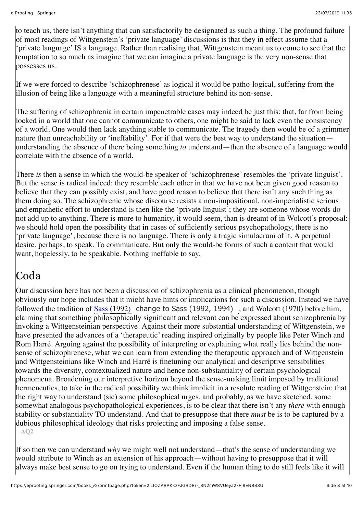to teach us, there isn't anything that can satisfactorily be designated as such a thing. The profound failure of most readings of Wittgenstein's 'private language' discussions is that they in effect assume that a 'private language' IS a language. Rather than realising that, Wittgenstein meant us to come to see that the temptation to so much as imagine that we can imagine a private language is the very non-sense that possesses us.

If we were forced to describe 'schizophrenese' as logical it would be patho-logical, suffering from the illusion of being like a language with a meaningful structure behind its non-sense.

The suffering of schizophrenia in certain impenetrable cases may indeed be just this: that, far from being locked in a world that one cannot communicate to others, one might be said to lack even the consistency of a world. One would then lack anything stable to communicate. The tragedy then would be of a grimmer nature than unreachability or 'ineffability'. For if that were the best way to understand the situation understanding the absence of there being something *to* understand—then the absence of a language would correlate with the absence of a world.

There *is* then a sense in which the would-be speaker of 'schizophrenese' resembles the 'private linguist'. But the sense is radical indeed: they resemble each other in that we have not been given good reason to believe that they can possibly exist, and have good reason to believe that there isn't any such thing as them doing so. The schizophrenic whose discourse resists a non-impositional, non-imperialistic serious and empathetic effort to understand is then like the 'private linguist'; they are someone whose words do not add up to anything. There is more to humanity, it would seem, than is dreamt of in Wolcott's proposal: we should hold open the possibility that in cases of sufficiently serious psychopathology, there is no 'private language', because there is no language. There is only a tragic simulacrum of it. A perpetual desire, perhaps, to speak. To communicate. But only the would-be forms of such a content that would want, hopelessly, to be speakable. Nothing ineffable to say.

#### Coda

Our discussion here has not been a discussion of schizophrenia as a clinical phenomenon, though obviously our hope includes that it might have hints or implications for such a discussion. Instead we have followed the tradition of Sass (1992) change to Sass (1992, 1994) , and Wolcott (1970) before him, claiming that something philosophically significant and relevant can be expressed about schizophrenia by invoking a Wittgensteinian perspective. Against their more substantial understanding of Wittgenstein, we have presented the advances of a 'therapeutic' reading inspired originally by people like Peter Winch and Rom Harré. Arguing against the possibility of interpreting or explaining what really lies behind the nonsense of schizophrenese, what we can learn from extending the therapeutic approach and of Wittgenstein and Wittgensteinians like Winch and Harré is finetuning our analytical and descriptive sensibilities towards the diversity, contextualized nature and hence non-substantiality of certain psychological phenomena. Broadening our interpretive horizon beyond the sense-making limit imposed by traditional hermeneutics, to take in the radical possibility we think implicit in a resolute reading of Wittgenstein: that the right way to understand (sic) some philosophical urges, and probably, as we have sketched, some somewhat analogous psychopathological experiences, is to be clear that there isn't any *there* with enough stability or substantiality TO understand. And that to presuppose that there *must* be is to be captured by a dubious philosophical ideology that risks projecting and imposing a false sense. **[AQ2](https://eproofing.springer.com/books_v2/printpage.php?token=2iLIOZARAKkzFJGRDRr-_8N2mW8VUeya2xFI8ENBS3U#)**

If so then we can understand *why* we might well not understand—that's the sense of understanding we would attribute to Winch as an extension of his approach—without having to presuppose that it will always make best sense to go on trying to understand. Even if the human thing to do still feels like it will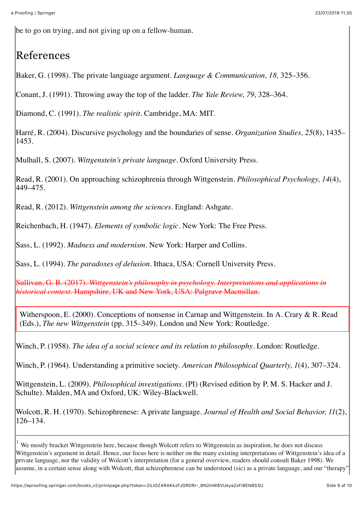be to go on trying, and not giving up on a fellow-human.

#### References

Baker, G. (1998). The private language argument. *Language & Communication, 18,* 325–356.

Conant, J. (1991). Throwing away the top of the ladder. *The Yale Review, 79,* 328–364.

Diamond, C. (1991). *The realistic spirit*. Cambridge, MA: MIT.

Harré, R. (2004). Discursive psychology and the boundaries of sense. *Organization Studies, 25*(8), 1435– 1453.

Mulhall, S. (2007). *Wittgenstein's private language*. Oxford University Press.

Read, R. (2001). On approaching schizophrenia through Wittgenstein. *Philosophical Psychology, 14*(4), 449–475.

Read, R. (2012). *Wittgenstein among the sciences*. England: Ashgate.

Reichenbach, H. (1947). *Elements of symbolic logic*. New York: The Free Press.

Sass, L. (1992). *Madness and modernism*. New York: Harper and Collins.

Sass, L. (1994). *The paradoxes of delusion*. Ithaca, USA: Cornell University Press.

Sullivan, G. B. (2017). *Wittgenstein's philosophy in psychology. Interpretations and applications in historical context*. Hampshire, UK and New York, USA: Palgrave Macmillan.

Witherspoon, E. (2000). Conceptions of nonsense in Carnap and Wittgenstein. In A. Crary & R. Read (Eds.), *The new Wittgenstein* (pp. 315–349). London and New York: Routledge.

Winch, P. (1958). *The idea of a social science and its relation to philosophy*. London: Routledge.

Winch, P. (1964). Understanding a primitive society. *American Philosophical Quarterly, 1*(4), 307–324.

Wittgenstein, L. (2009). *Philosophical investigations*. (PI) (Revised edition by P. M. S. Hacker and J. Schulte). Malden, MA and Oxford, UK: Wiley-Blackwell.

Wolcott, R. H. (1970). Schizophrenese: A private language. *Journal of Health and Social Behavior, 11*(2), 126–134.

<span id="page-8-0"></span>We mostly bracket Wittgenstein here, because though Wolcott refers to Wittgenstein as inspiration, he does not discuss Wittgenstein's argument in detail. Hence, our focus here is neither on the many existing interpretations of Wittgenstein's idea of a private language, nor the validity of Wolcott's interpretation (for a general overview, readers should consult Baker 1998). We assume, in a certain sense along with Wolcott, that schizophrenese can be understood (sic) as a private language, and our "therapy" [1](#page-1-0)